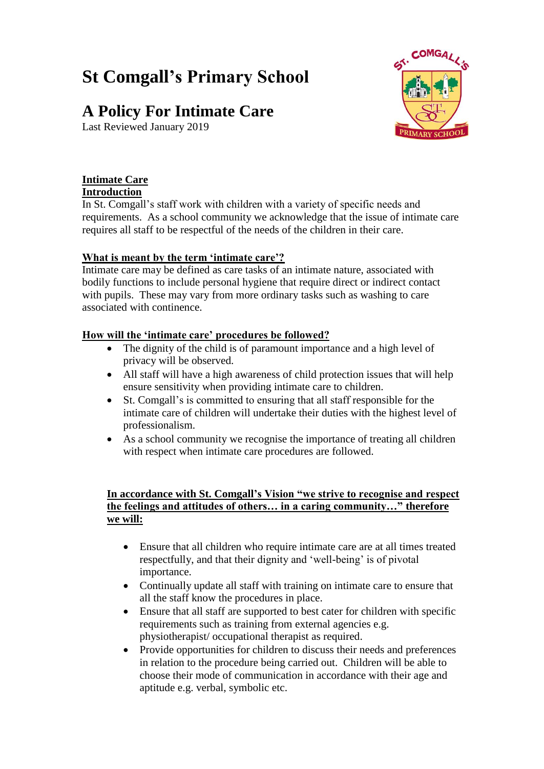# **St Comgall's Primary School**

## **A Policy For Intimate Care**

Last Reviewed January 2019



#### **Intimate Care**

#### **Introduction**

In St. Comgall's staff work with children with a variety of specific needs and requirements. As a school community we acknowledge that the issue of intimate care requires all staff to be respectful of the needs of the children in their care.

#### **What is meant by the term 'intimate care'?**

Intimate care may be defined as care tasks of an intimate nature, associated with bodily functions to include personal hygiene that require direct or indirect contact with pupils. These may vary from more ordinary tasks such as washing to care associated with continence.

#### **How will the 'intimate care' procedures be followed?**

- The dignity of the child is of paramount importance and a high level of privacy will be observed.
- All staff will have a high awareness of child protection issues that will help ensure sensitivity when providing intimate care to children.
- St. Comgall's is committed to ensuring that all staff responsible for the intimate care of children will undertake their duties with the highest level of professionalism.
- As a school community we recognise the importance of treating all children with respect when intimate care procedures are followed.

#### **In accordance with St. Comgall's Vision "we strive to recognise and respect the feelings and attitudes of others… in a caring community…" therefore we will:**

- Ensure that all children who require intimate care are at all times treated respectfully, and that their dignity and 'well-being' is of pivotal importance.
- Continually update all staff with training on intimate care to ensure that all the staff know the procedures in place.
- Ensure that all staff are supported to best cater for children with specific requirements such as training from external agencies e.g. physiotherapist/ occupational therapist as required.
- Provide opportunities for children to discuss their needs and preferences in relation to the procedure being carried out. Children will be able to choose their mode of communication in accordance with their age and aptitude e.g. verbal, symbolic etc.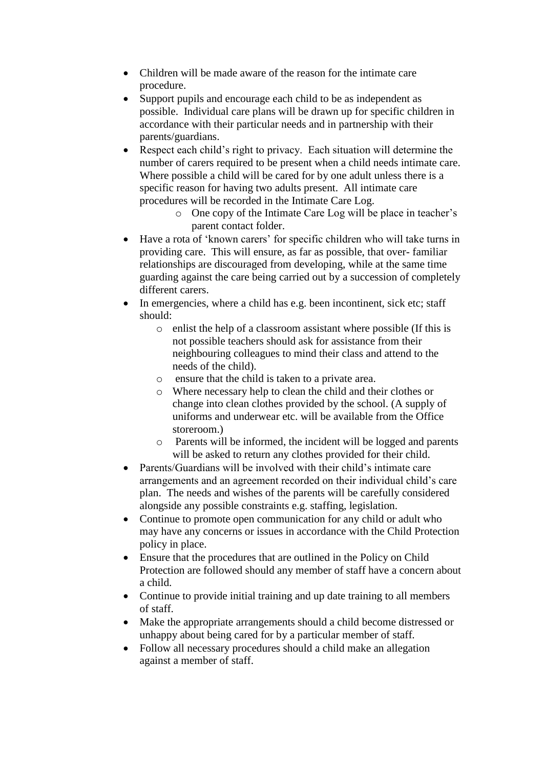- Children will be made aware of the reason for the intimate care procedure.
- Support pupils and encourage each child to be as independent as possible. Individual care plans will be drawn up for specific children in accordance with their particular needs and in partnership with their parents/guardians.
- Respect each child's right to privacy. Each situation will determine the number of carers required to be present when a child needs intimate care. Where possible a child will be cared for by one adult unless there is a specific reason for having two adults present. All intimate care procedures will be recorded in the Intimate Care Log.
	- o One copy of the Intimate Care Log will be place in teacher's parent contact folder.
- Have a rota of 'known carers' for specific children who will take turns in providing care. This will ensure, as far as possible, that over- familiar relationships are discouraged from developing, while at the same time guarding against the care being carried out by a succession of completely different carers.
- In emergencies, where a child has e.g. been incontinent, sick etc; staff should:
	- o enlist the help of a classroom assistant where possible (If this is not possible teachers should ask for assistance from their neighbouring colleagues to mind their class and attend to the needs of the child).
	- o ensure that the child is taken to a private area.
	- o Where necessary help to clean the child and their clothes or change into clean clothes provided by the school. (A supply of uniforms and underwear etc. will be available from the Office storeroom.)
	- o Parents will be informed, the incident will be logged and parents will be asked to return any clothes provided for their child.
- Parents/Guardians will be involved with their child's intimate care arrangements and an agreement recorded on their individual child's care plan. The needs and wishes of the parents will be carefully considered alongside any possible constraints e.g. staffing, legislation.
- Continue to promote open communication for any child or adult who may have any concerns or issues in accordance with the Child Protection policy in place.
- Ensure that the procedures that are outlined in the Policy on Child Protection are followed should any member of staff have a concern about a child.
- Continue to provide initial training and up date training to all members of staff.
- Make the appropriate arrangements should a child become distressed or unhappy about being cared for by a particular member of staff.
- Follow all necessary procedures should a child make an allegation against a member of staff.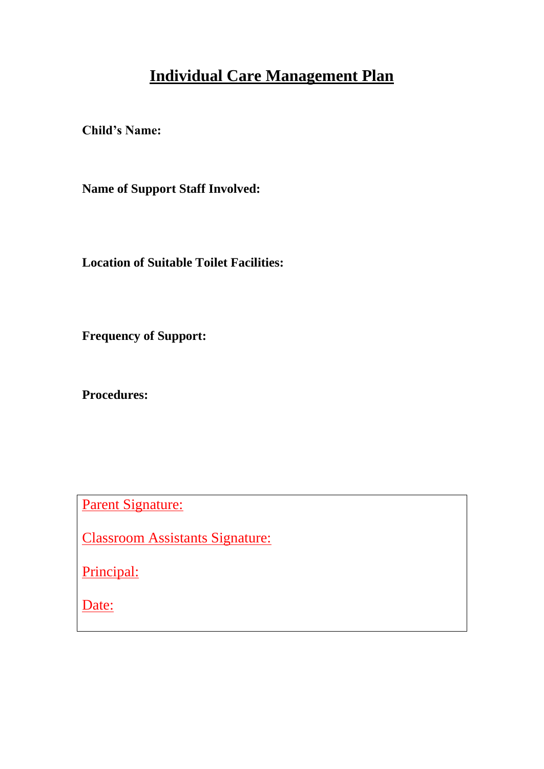## **Individual Care Management Plan**

**Child's Name:** 

**Name of Support Staff Involved:** 

**Location of Suitable Toilet Facilities:** 

**Frequency of Support:**

**Procedures:** 

Parent Signature:

Classroom Assistants Signature:

Principal:

Date: